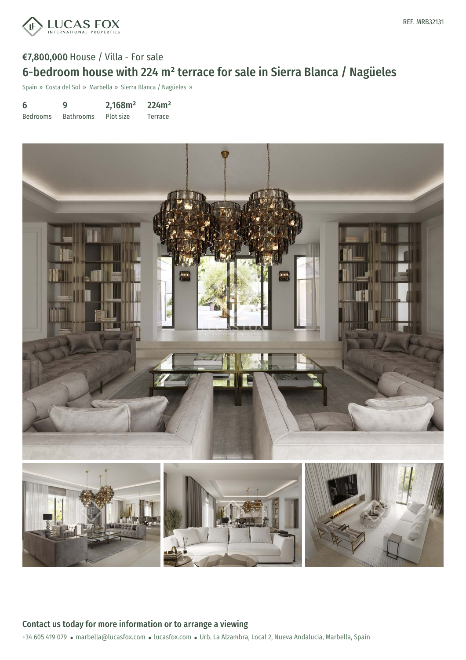

# €7,800,000 House / Villa - For sale 6-bedroom house with 224 m² terrace for sale in Sierra Blanca / Nagüeles

Spain » Costa del Sol » Marbella » Sierra Blanca / Nagüeles »

| 6               | g                | 2,168m <sup>2</sup> | 224m <sup>2</sup> |
|-----------------|------------------|---------------------|-------------------|
| <b>Bedrooms</b> | <b>Bathrooms</b> | Plot size           | Terrace           |



+34 605 419 079 · marbella@lucasfox.com · lucasfox.com · Urb. La Alzambra, Local 2, Nueva Andalucia, Marbella, Spain Contact us today for more information or to arrange a viewing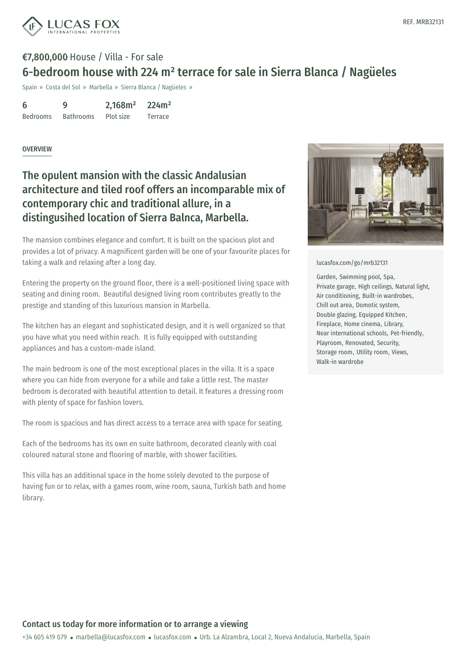

## €7,800,000 House / Villa - For sale 6-bedroom house with 224 m² terrace for sale in Sierra Blanca / Nagüeles

Spain » Costa del Sol » Marbella » Sierra Blanca / Nagüeles »

| 6               | 9                | 2,168m <sup>2</sup> | 224m <sup>2</sup> |
|-----------------|------------------|---------------------|-------------------|
| <b>Bedrooms</b> | <b>Bathrooms</b> | Plot size           | Terrace           |

#### OVERVIEW

## The opulent mansion with the classic Andalusian architecture and tiled roof offers an incomparable mix of contemporary chic and traditional allure, in a distingusihed location of Sierra Balnca, Marbella.

The mansion combines elegance and comfort. It is built on the spacious plot and provides a lot of privacy. A magnificent garden will be one of your favourite places for taking a walk and relaxing after a long day.

Entering the property on the ground floor, there is a well-positioned living space with seating and dining room. Beautiful designed living room contributes greatly to the prestige and standing of this luxurious mansion in Marbella.

The kitchen has an elegant and sophisticated design, and it is well organized so that you have what you need within reach. It is fully equipped with outstanding appliances and has a custom-made island.

The main bedroom is one of the most exceptional places in the villa. It is a space where you can hide from everyone for a while and take a little rest. The master bedroom is decorated with beautiful attention to detail. It features a dressing room with plenty of space for fashion lovers.

The room is spacious and has direct access to a terrace area with space for seating.

Each of the bedrooms has its own en suite bathroom, decorated cleanly with coal coloured natural stone and flooring of marble, with shower facilities.

This villa has an additional space in the home solely devoted to the purpose of having fun or to relax, with a [games](mailto:marbella@lucasfox.com) room, wine [room,](https://www.lucasfox.com) sauna, Turkish bath and home library.



#### [lucasfox.com/go/mrb32131](https://www.lucasfox.com/go/mrb32131)

Garden, Swimming pool, Spa, Private garage, High ceilings, Natural light, Air conditioning, Built-in wardrobes, Chill out area, Domotic system, Double glazing, Equipped Kitchen, Fireplace, Home cinema, Library, Near international schools, Pet-friendly, Playroom, Renovated, Security, Storage room, Utility room, Views, Walk-in wardrobe

### Contact us today for more information or to arrange a viewing

+34 605 419 079 · marbella@lucasfox.com · lucasfox.com · Urb. La Alzambra, Local 2, Nueva Andalucia, Marbella, Spain